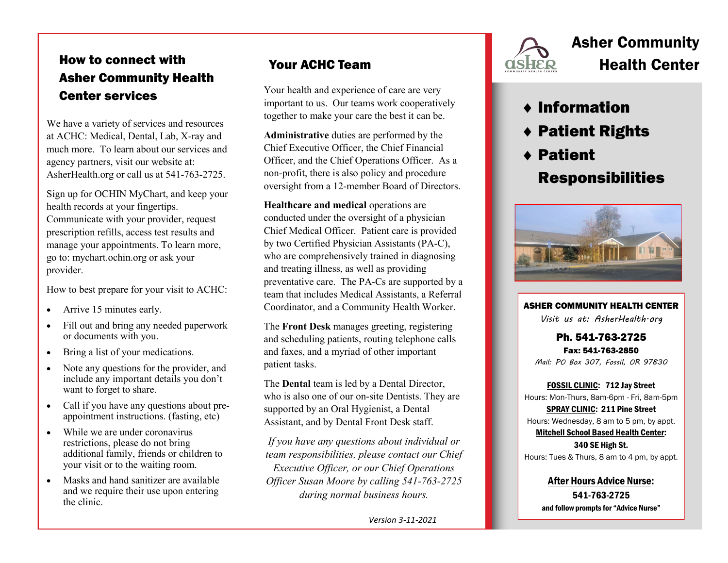### How to connect with Asher Community Health Center services

We have a variety of services and resources at ACHC: Medical, Dental, Lab, X-ray and much more. To learn about our services and agency partners, visit our website at: AsherHealth.org or call us at 541-763-2725.

Sign up for OCHIN MyChart, and keep your health records at your fingertips. Communicate with your provider, request prescription refills, access test results and manage your appointments. To learn more, go to: mychart.ochin.org or ask your provider.

How to best prepare for your visit to ACHC:

- Arrive 15 minutes early.
- Fill out and bring any needed paperwork or documents with you.
- Bring a list of your medications.
- Note any questions for the provider, and include any important details you don't want to forget to share.
- Call if you have any questions about preappointment instructions. (fasting, etc)
- While we are under coronavirus restrictions, please do not bring additional family, friends or children to your visit or to the waiting room.
- Masks and hand sanitizer are available and we require their use upon entering the clinic.

Your health and experience of care are very important to us. Our teams work cooperatively together to make your care the best it can be.

**Administrative** duties are performed by the Chief Executive Officer, the Chief Financial Officer, and the Chief Operations Officer. As a non-profit, there is also policy and procedure oversight from a 12-member Board of Directors.

**Healthcare and medical** operations are conducted under the oversight of a physician Chief Medical Officer. Patient care is provided by two Certified Physician Assistants (PA-C), who are comprehensively trained in diagnosing and treating illness, as well as providing preventative care. The PA-Cs are supported by a team that includes Medical Assistants, a Referral Coordinator, and a Community Health Worker.

The **Front Desk** manages greeting, registering and scheduling patients, routing telephone calls and faxes, and a myriad of other important patient tasks.

The **Dental** team is led by a Dental Director, who is also one of our on-site Dentists. They are supported by an Oral Hygienist, a Dental Assistant, and by Dental Front Desk staff.

*If you have any questions about individual or team responsibilities, please contact our Chief Executive Officer, or our Chief Operations Officer Susan Moore by calling 541-763-2725 during normal business hours.*

*Version 3-11-2021*



# Asher Community Your ACHC Team **Health Center**

### Information

- ◆ Patient Rights
- Patient

# Responsibilities



ASHER COMMUNITY HEALTH CENTER *Visit us at: AsherHealth.org* 

Ph. 541-763-2725 Fax: 541-763-2850 *Mail: PO Box 307, Fossil, OR 97830*

FOSSIL CLINIC: 712 Jay Street Hours: Mon-Thurs, 8am-6pm - Fri, 8am-5pm

SPRAY CLINIC: 211 Pine Street Hours: Wednesday, 8 am to 5 pm, by appt.

Mitchell School Based Health Center: 340 SE High St. Hours: Tues & Thurs, 8 am to 4 pm, by appt.

After Hours Advice Nurse: 541-763-2725 and follow prompts for "Advice Nurse"